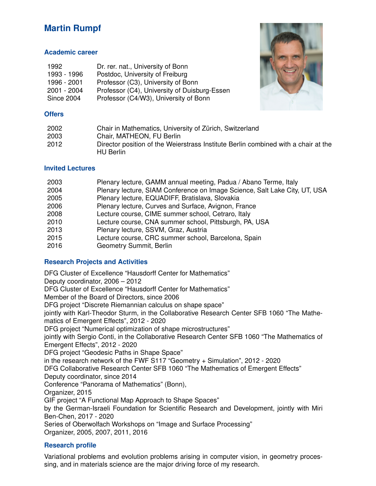# **Martin Rumpf**

#### **Academic career**

| 1992              | Dr. rer. nat., University of Bonn            |
|-------------------|----------------------------------------------|
| 1993 - 1996       | Postdoc, University of Freiburg              |
| 1996 - 2001       | Professor (C3), University of Bonn           |
| 2001 - 2004       | Professor (C4), University of Duisburg-Essen |
| <b>Since 2004</b> | Professor (C4/W3), University of Bonn        |
|                   |                                              |



#### **Offers**

| 2002 | Chair in Mathematics, University of Zürich, Switzerland                                         |
|------|-------------------------------------------------------------------------------------------------|
| 2003 | Chair, MATHEON, FU Berlin                                                                       |
| 2012 | Director position of the Weierstrass Institute Berlin combined with a chair at the<br>HU Berlin |

## **Invited Lectures**

| 2003 | Plenary lecture, GAMM annual meeting, Padua / Abano Terme, Italy           |
|------|----------------------------------------------------------------------------|
| 2004 | Plenary lecture, SIAM Conference on Image Science, Salt Lake City, UT, USA |
| 2005 | Plenary lecture, EQUADIFF, Bratislava, Slovakia                            |
| 2006 | Plenary lecture, Curves and Surface, Avignon, France                       |
| 2008 | Lecture course, CIME summer school, Cetraro, Italy                         |
| 2010 | Lecture course, CNA summer school, Pittsburgh, PA, USA                     |
| 2013 | Plenary lecture, SSVM, Graz, Austria                                       |
| 2015 | Lecture course, CRC summer school, Barcelona, Spain                        |
| 2016 | Geometry Summit, Berlin                                                    |

## **Research Projects and Activities**

DFG Cluster of Excellence "Hausdorff Center for Mathematics" Deputy coordinator, 2006 – 2012 DFG Cluster of Excellence "Hausdorff Center for Mathematics" Member of the Board of Directors, since 2006 DFG project "Discrete Riemannian calculus on shape space" jointly with Karl-Theodor Sturm, in the Collaborative Research Center SFB 1060 "The Mathematics of Emergent Effects", 2012 - 2020 DFG project "Numerical optimization of shape microstructures" jointly with Sergio Conti, in the Collaborative Research Center SFB 1060 "The Mathematics of Emergent Effects", 2012 - 2020 DFG project "Geodesic Paths in Shape Space" in the research network of the FWF S117 "Geometry + Simulation", 2012 - 2020 DFG Collaborative Research Center SFB 1060 "The Mathematics of Emergent Effects" Deputy coordinator, since 2014 Conference "Panorama of Mathematics" (Bonn), Organizer, 2015 GIF project "A Functional Map Approach to Shape Spaces" by the German-Israeli Foundation for Scientific Research and Development, jointly with Miri Ben-Chen, 2017 - 2020 Series of Oberwolfach Workshops on "Image and Surface Processing" Organizer, 2005, 2007, 2011, 2016

# **Research profile**

Variational problems and evolution problems arising in computer vision, in geometry processing, and in materials science are the major driving force of my research.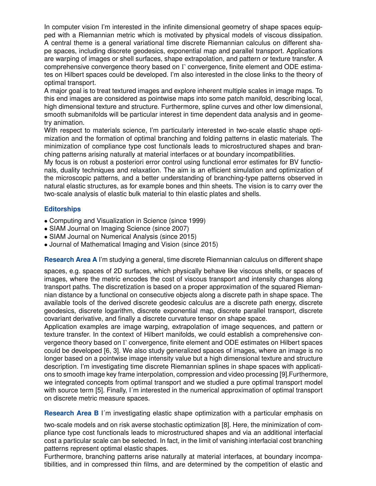In computer vision I'm interested in the infinite dimensional geometry of shape spaces equipped with a Riemannian metric which is motivated by physical models of viscous dissipation. A central theme is a general variational time discrete Riemannian calculus on different shape spaces, including discrete geodesics, exponential map and parallel transport. Applications are warping of images or shell surfaces, shape extrapolation, and pattern or texture transfer. A comprehensive convergence theory based on  $\Gamma$  convergence, finite element and ODE estimates on Hilbert spaces could be developed. I'm also interested in the close links to the theory of optimal transport.

A major goal is to treat textured images and explore inherent multiple scales in image maps. To this end images are considered as pointwise maps into some patch manifold, describing local, high dimensional texture and structure. Furthermore, spline curves and other low dimensional, smooth submanifolds will be particular interest in time dependent data analysis and in geometry animation.

With respect to materials science, I'm particularly interested in two-scale elastic shape optimization and the formation of optimal branching and folding patterns in elastic materials. The minimization of compliance type cost functionals leads to microstructured shapes and branching patterns arising naturally at material interfaces or at boundary incompatibilities.

My focus is on robust a posteriori error control using functional error estimates for BV functionals, duality techniques and relaxation. The aim is an efficient simulation and optimization of the microscopic patterns, and a better understanding of branching-type patterns observed in natural elastic structures, as for example bones and thin sheets. The vision is to carry over the two-scale analysis of elastic bulk material to thin elastic plates and shells.

## **Editorships**

- Computing and Visualization in Science (since 1999)
- SIAM Journal on Imaging Science (since 2007)
- SIAM Journal on Numerical Analysis (since 2015)
- Journal of Mathematical Imaging and Vision (since 2015)

**Research Area A** I'm studying a general, time discrete Riemannian calculus on different shape

spaces, e.g. spaces of 2D surfaces, which physically behave like viscous shells, or spaces of images, where the metric encodes the cost of viscous transport and intensity changes along transport paths. The discretization is based on a proper approximation of the squared Riemannian distance by a functional on consecutive objects along a discrete path in shape space. The available tools of the derived discrete geodesic calculus are a discrete path energy, discrete geodesics, discrete logarithm, discrete exponential map, discrete parallel transport, discrete covariant derivative, and finally a discrete curvature tensor on shape space.

Application examples are image warping, extrapolation of image sequences, and pattern or texture transfer. In the context of Hilbert manifolds, we could establish a comprehensive convergence theory based on Γ convergence, finite element and ODE estimates on Hilbert spaces could be developed [6, 3]. We also study generalized spaces of images, where an image is no longer based on a pointwise image intensity value but a high dimensional texture and structure description. I'm investigating time discrete Riemannian splines in shape spaces with applications to smooth image key frame interpolation, compression and video processing [9].Furthermore, we integrated concepts from optimal transport and we studied a pure optimal transport model with source term [5]. Finally, I´m interested in the numerical approximation of optimal transport on discrete metric measure spaces.

**Research Area B** I´m investigating elastic shape optimization with a particular emphasis on

two-scale models and on risk averse stochastic optimization [8]. Here, the minimization of compliance type cost functionals leads to microstructured shapes and via an additional interfacial cost a particular scale can be selected. In fact, in the limit of vanishing interfacial cost branching patterns represent optimal elastic shapes.

Furthermore, branching patterns arise naturally at material interfaces, at boundary incompatibilities, and in compressed thin films, and are determined by the competition of elastic and